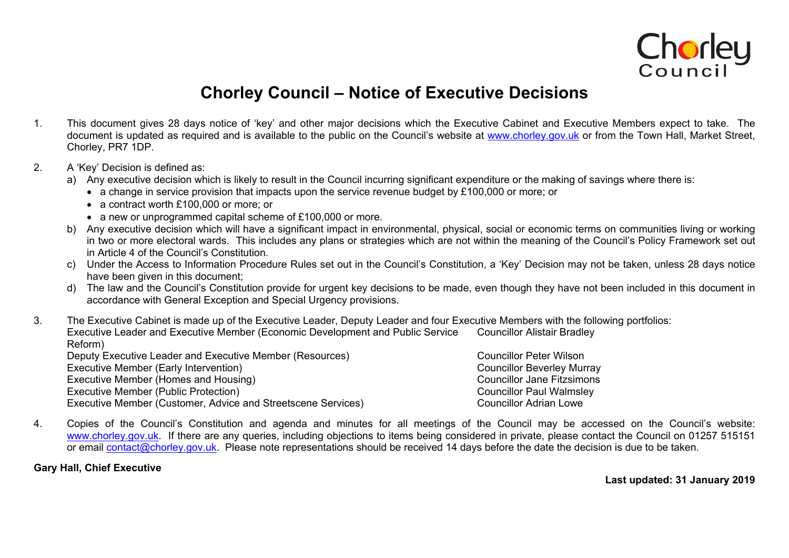

## **Chorley Council – Notice of Executive Decisions**

- 1. This document gives 28 days notice of 'key' and other major decisions which the Executive Cabinet and Executive Members expect to take. The document is updated as required and is available to the public on the Council's website at [www.chorley.gov.uk](http://www.chorley.gov.uk/) or from the Town Hall, Market Street, Chorley, PR7 1DP.
- 2. A 'Key' Decision is defined as:
	- a) Any executive decision which is likely to result in the Council incurring significant expenditure or the making of savings where there is:
		- a change in service provision that impacts upon the service revenue budget by £100,000 or more; or
		- a contract worth £100,000 or more; or
		- a new or unprogrammed capital scheme of £100,000 or more.
	- b) Any executive decision which will have a significant impact in environmental, physical, social or economic terms on communities living or working in two or more electoral wards. This includes any plans or strategies which are not within the meaning of the Council's Policy Framework set out in Article 4 of the Council's Constitution.
	- c) Under the Access to Information Procedure Rules set out in the Council's Constitution, a 'Key' Decision may not be taken, unless 28 days notice have been given in this document:
	- d) The law and the Council's Constitution provide for urgent key decisions to be made, even though they have not been included in this document in accordance with General Exception and Special Urgency provisions.

3. The Executive Cabinet is made up of the Executive Leader, Deputy Leader and four Executive Members with the following portfolios: Executive Leader and Executive Member (Economic Development and Public Service Reform) Councillor Alistair Bradley Deputy Executive Leader and Executive Member (Resources) Councillor Peter Wilson Executive Member (Early Intervention) Executive Member (Early Intervention) Executive Member (Homes and Housing) Executive Member (Homes and Housing) Executive Member (Public Protection) Executive Member (Public Protection) Executive Member (Customer, Advice and Streetscene Services) Councillor Adrian Lowe

4. Copies of the Council's Constitution and agenda and minutes for all meetings of the Council may be accessed on the Council's website: [www.chorley.gov.uk](http://www.chorley.gov.uk/). If there are any queries, including objections to items being considered in private, please contact the Council on 01257 515151 or email [contact@chorley.gov.uk](mailto:contact@chorley.gov.uk). Please note representations should be received 14 days before the date the decision is due to be taken.

**Gary Hall, Chief Executive**

**Last updated: 31 January 2019**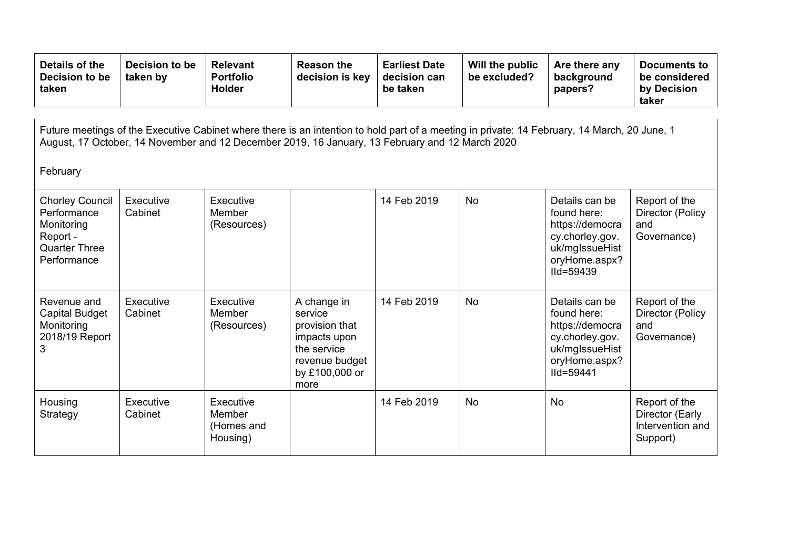| Details of the<br>Decision to be<br>taken                                                                                                                                                                                                                   | Decision to be<br>taken by | <b>Relevant</b><br><b>Portfolio</b><br><b>Holder</b> | <b>Reason the</b><br>decision is key                                                                                | <b>Earliest Date</b><br>decision can<br>be taken | Will the public<br>be excluded? | Are there any<br>background<br>papers?                                                                                 | Documents to<br>be considered<br>by Decision<br>taker            |  |  |  |
|-------------------------------------------------------------------------------------------------------------------------------------------------------------------------------------------------------------------------------------------------------------|----------------------------|------------------------------------------------------|---------------------------------------------------------------------------------------------------------------------|--------------------------------------------------|---------------------------------|------------------------------------------------------------------------------------------------------------------------|------------------------------------------------------------------|--|--|--|
| Future meetings of the Executive Cabinet where there is an intention to hold part of a meeting in private: 14 February, 14 March, 20 June, 1<br>August, 17 October, 14 November and 12 December 2019, 16 January, 13 February and 12 March 2020<br>February |                            |                                                      |                                                                                                                     |                                                  |                                 |                                                                                                                        |                                                                  |  |  |  |
| <b>Chorley Council</b><br>Performance<br>Monitoring<br>Report -<br><b>Quarter Three</b><br>Performance                                                                                                                                                      | Executive<br>Cabinet       | Executive<br>Member<br>(Resources)                   |                                                                                                                     | 14 Feb 2019                                      | <b>No</b>                       | Details can be<br>found here:<br>https://democra<br>cy.chorley.gov.<br>uk/mglssueHist<br>oryHome.aspx?<br>$I$ Id=59439 | Report of the<br>Director (Policy<br>and<br>Governance)          |  |  |  |
| Revenue and<br>Capital Budget<br>Monitoring<br>2018/19 Report<br>3                                                                                                                                                                                          | Executive<br>Cabinet       | Executive<br>Member<br>(Resources)                   | A change in<br>service<br>provision that<br>impacts upon<br>the service<br>revenue budget<br>by £100,000 or<br>more | 14 Feb 2019                                      | <b>No</b>                       | Details can be<br>found here:<br>https://democra<br>cy.chorley.gov.<br>uk/mglssueHist<br>oryHome.aspx?<br>IId=59441    | Report of the<br>Director (Policy<br>and<br>Governance)          |  |  |  |
| Housing<br>Strategy                                                                                                                                                                                                                                         | Executive<br>Cabinet       | Executive<br>Member<br>(Homes and<br>Housing)        |                                                                                                                     | 14 Feb 2019                                      | <b>No</b>                       | <b>No</b>                                                                                                              | Report of the<br>Director (Early<br>Intervention and<br>Support) |  |  |  |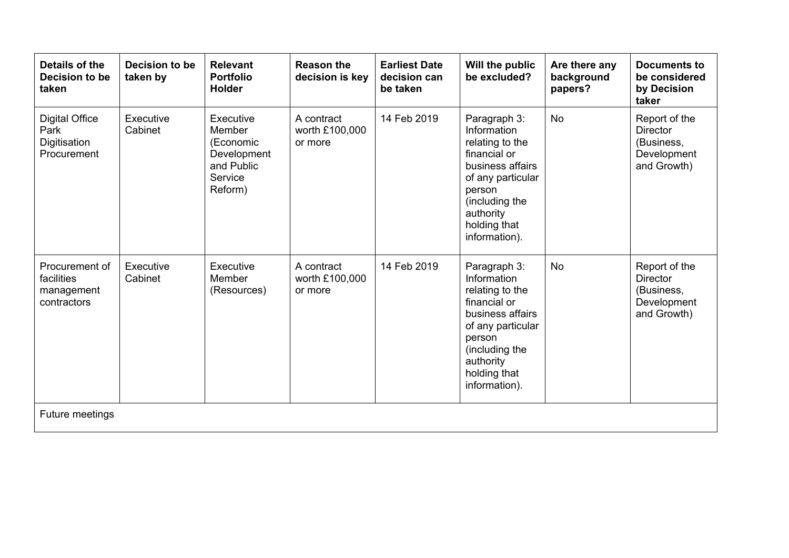| Details of the<br>Decision to be<br>taken                    | Decision to be<br>taken by | <b>Relevant</b><br><b>Portfolio</b><br><b>Holder</b>                                | <b>Reason the</b><br>decision is key    | <b>Earliest Date</b><br>decision can<br>be taken | Will the public<br>be excluded?                                                                                                                                                   | Are there any<br>background<br>papers? | <b>Documents to</b><br>be considered<br>by Decision<br>taker                 |
|--------------------------------------------------------------|----------------------------|-------------------------------------------------------------------------------------|-----------------------------------------|--------------------------------------------------|-----------------------------------------------------------------------------------------------------------------------------------------------------------------------------------|----------------------------------------|------------------------------------------------------------------------------|
| <b>Digital Office</b><br>Park<br>Digitisation<br>Procurement | Executive<br>Cabinet       | Executive<br>Member<br>(Economic<br>Development<br>and Public<br>Service<br>Reform) | A contract<br>worth £100,000<br>or more | 14 Feb 2019                                      | Paragraph 3:<br>Information<br>relating to the<br>financial or<br>business affairs<br>of any particular<br>person<br>(including the<br>authority<br>holding that<br>information). | <b>No</b>                              | Report of the<br><b>Director</b><br>(Business,<br>Development<br>and Growth) |
| Procurement of<br>facilities<br>management<br>contractors    | Executive<br>Cabinet       | Executive<br>Member<br>(Resources)                                                  | A contract<br>worth £100,000<br>or more | 14 Feb 2019                                      | Paragraph 3:<br>Information<br>relating to the<br>financial or<br>business affairs<br>of any particular<br>person<br>(including the<br>authority<br>holding that<br>information). | <b>No</b>                              | Report of the<br><b>Director</b><br>(Business,<br>Development<br>and Growth) |
| Future meetings                                              |                            |                                                                                     |                                         |                                                  |                                                                                                                                                                                   |                                        |                                                                              |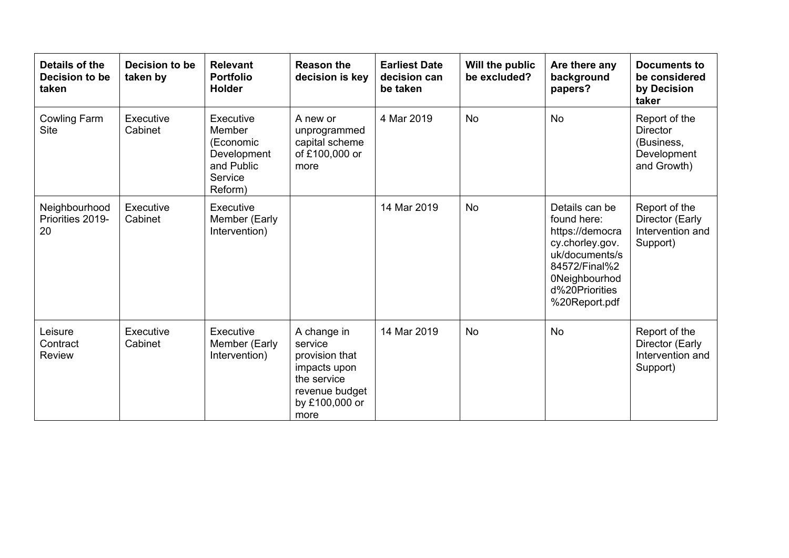| Details of the<br>Decision to be<br>taken | Decision to be<br>taken by | <b>Relevant</b><br><b>Portfolio</b><br><b>Holder</b>                                | <b>Reason the</b><br>decision is key                                                                                | <b>Earliest Date</b><br>decision can<br>be taken | Will the public<br>be excluded? | Are there any<br>background<br>papers?                                                                                                                            | <b>Documents to</b><br>be considered<br>by Decision<br>taker                 |
|-------------------------------------------|----------------------------|-------------------------------------------------------------------------------------|---------------------------------------------------------------------------------------------------------------------|--------------------------------------------------|---------------------------------|-------------------------------------------------------------------------------------------------------------------------------------------------------------------|------------------------------------------------------------------------------|
| Cowling Farm<br><b>Site</b>               | Executive<br>Cabinet       | Executive<br>Member<br>(Economic<br>Development<br>and Public<br>Service<br>Reform) | A new or<br>unprogrammed<br>capital scheme<br>of £100,000 or<br>more                                                | 4 Mar 2019                                       | <b>No</b>                       | <b>No</b>                                                                                                                                                         | Report of the<br><b>Director</b><br>(Business,<br>Development<br>and Growth) |
| Neighbourhood<br>Priorities 2019-<br>20   | Executive<br>Cabinet       | Executive<br>Member (Early<br>Intervention)                                         |                                                                                                                     | 14 Mar 2019                                      | <b>No</b>                       | Details can be<br>found here:<br>https://democra<br>cy.chorley.gov.<br>uk/documents/s<br>84572/Final%2<br><b>ONeighbourhod</b><br>d%20Priorities<br>%20Report.pdf | Report of the<br>Director (Early<br>Intervention and<br>Support)             |
| Leisure<br>Contract<br><b>Review</b>      | Executive<br>Cabinet       | Executive<br>Member (Early<br>Intervention)                                         | A change in<br>service<br>provision that<br>impacts upon<br>the service<br>revenue budget<br>by £100,000 or<br>more | 14 Mar 2019                                      | <b>No</b>                       | <b>No</b>                                                                                                                                                         | Report of the<br>Director (Early<br>Intervention and<br>Support)             |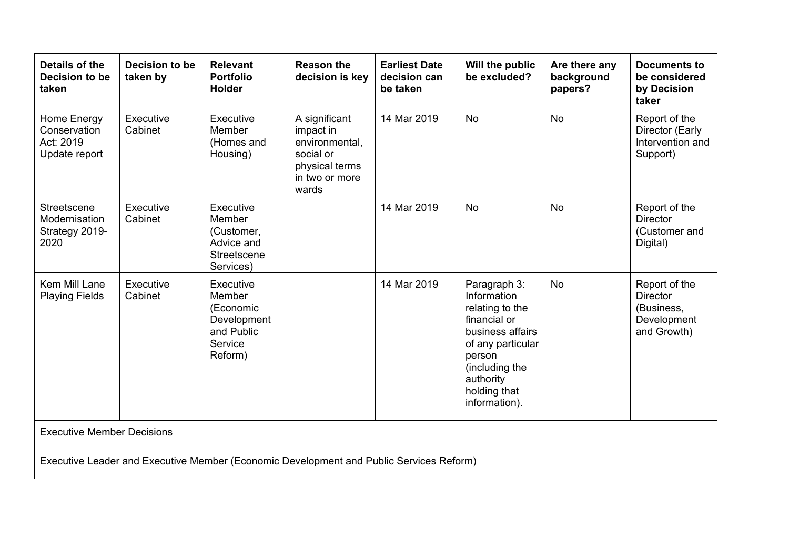| Details of the<br>Decision to be<br>taken                 | Decision to be<br>taken by | <b>Relevant</b><br><b>Portfolio</b><br><b>Holder</b>                                | <b>Reason the</b><br>decision is key                                                                   | <b>Earliest Date</b><br>decision can<br>be taken | Will the public<br>be excluded?                                                                                                                                                   | Are there any<br>background<br>papers? | <b>Documents to</b><br>be considered<br>by Decision<br>taker                 |
|-----------------------------------------------------------|----------------------------|-------------------------------------------------------------------------------------|--------------------------------------------------------------------------------------------------------|--------------------------------------------------|-----------------------------------------------------------------------------------------------------------------------------------------------------------------------------------|----------------------------------------|------------------------------------------------------------------------------|
| Home Energy<br>Conservation<br>Act: 2019<br>Update report | Executive<br>Cabinet       | Executive<br>Member<br>(Homes and<br>Housing)                                       | A significant<br>impact in<br>environmental,<br>social or<br>physical terms<br>in two or more<br>wards | 14 Mar 2019                                      | <b>No</b>                                                                                                                                                                         | <b>No</b>                              | Report of the<br>Director (Early<br>Intervention and<br>Support)             |
| Streetscene<br>Modernisation<br>Strategy 2019-<br>2020    | Executive<br>Cabinet       | Executive<br>Member<br>(Customer,<br>Advice and<br>Streetscene<br>Services)         |                                                                                                        | 14 Mar 2019                                      | <b>No</b>                                                                                                                                                                         | <b>No</b>                              | Report of the<br><b>Director</b><br>(Customer and<br>Digital)                |
| Kem Mill Lane<br><b>Playing Fields</b>                    | Executive<br>Cabinet       | Executive<br>Member<br>(Economic<br>Development<br>and Public<br>Service<br>Reform) |                                                                                                        | 14 Mar 2019                                      | Paragraph 3:<br>Information<br>relating to the<br>financial or<br>business affairs<br>of any particular<br>person<br>(including the<br>authority<br>holding that<br>information). | <b>No</b>                              | Report of the<br><b>Director</b><br>(Business,<br>Development<br>and Growth) |
| <b>Executive Member Decisions</b>                         |                            |                                                                                     | Executive Leader and Executive Member (Economic Development and Public Services Reform)                |                                                  |                                                                                                                                                                                   |                                        |                                                                              |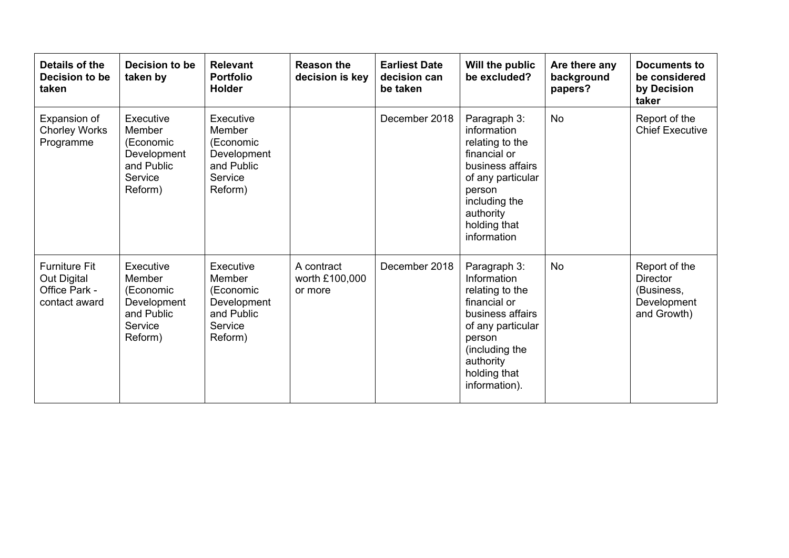| Details of the<br>Decision to be<br>taken                             | Decision to be<br>taken by                                                          | <b>Relevant</b><br><b>Portfolio</b><br><b>Holder</b>                                | <b>Reason the</b><br>decision is key    | <b>Earliest Date</b><br>decision can<br>be taken | Will the public<br>be excluded?                                                                                                                                                   | Are there any<br>background<br>papers? | <b>Documents to</b><br>be considered<br>by Decision<br>taker                 |
|-----------------------------------------------------------------------|-------------------------------------------------------------------------------------|-------------------------------------------------------------------------------------|-----------------------------------------|--------------------------------------------------|-----------------------------------------------------------------------------------------------------------------------------------------------------------------------------------|----------------------------------------|------------------------------------------------------------------------------|
| Expansion of<br><b>Chorley Works</b><br>Programme                     | Executive<br>Member<br>(Economic<br>Development<br>and Public<br>Service<br>Reform) | Executive<br>Member<br>(Economic<br>Development<br>and Public<br>Service<br>Reform) |                                         | December 2018                                    | Paragraph 3:<br>information<br>relating to the<br>financial or<br>business affairs<br>of any particular<br>person<br>including the<br>authority<br>holding that<br>information    | <b>No</b>                              | Report of the<br><b>Chief Executive</b>                                      |
| <b>Furniture Fit</b><br>Out Digital<br>Office Park -<br>contact award | Executive<br>Member<br>(Economic<br>Development<br>and Public<br>Service<br>Reform) | Executive<br>Member<br>(Economic<br>Development<br>and Public<br>Service<br>Reform) | A contract<br>worth £100,000<br>or more | December 2018                                    | Paragraph 3:<br>Information<br>relating to the<br>financial or<br>business affairs<br>of any particular<br>person<br>(including the<br>authority<br>holding that<br>information). | <b>No</b>                              | Report of the<br><b>Director</b><br>(Business,<br>Development<br>and Growth) |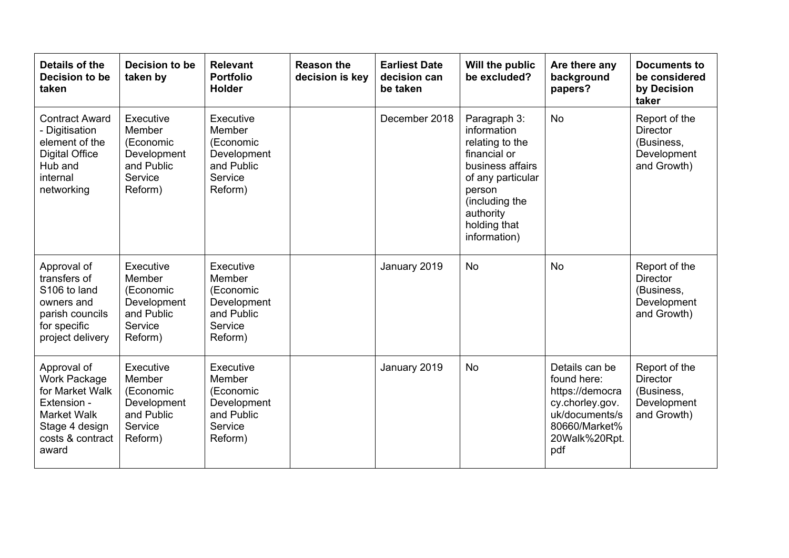| Details of the<br>Decision to be<br>taken                                                                                          | Decision to be<br>taken by                                                          | <b>Relevant</b><br><b>Portfolio</b><br><b>Holder</b>                                | <b>Reason the</b><br>decision is key | <b>Earliest Date</b><br>decision can<br>be taken | Will the public<br>be excluded?                                                                                                                                                  | Are there any<br>background<br>papers?                                                                                         | <b>Documents to</b><br>be considered<br>by Decision<br>taker                 |
|------------------------------------------------------------------------------------------------------------------------------------|-------------------------------------------------------------------------------------|-------------------------------------------------------------------------------------|--------------------------------------|--------------------------------------------------|----------------------------------------------------------------------------------------------------------------------------------------------------------------------------------|--------------------------------------------------------------------------------------------------------------------------------|------------------------------------------------------------------------------|
| <b>Contract Award</b><br>- Digitisation<br>element of the<br><b>Digital Office</b><br>Hub and<br>internal<br>networking            | Executive<br>Member<br>(Economic<br>Development<br>and Public<br>Service<br>Reform) | Executive<br>Member<br>(Economic<br>Development<br>and Public<br>Service<br>Reform) |                                      | December 2018                                    | Paragraph 3:<br>information<br>relating to the<br>financial or<br>business affairs<br>of any particular<br>person<br>(including the<br>authority<br>holding that<br>information) | <b>No</b>                                                                                                                      | Report of the<br><b>Director</b><br>(Business,<br>Development<br>and Growth) |
| Approval of<br>transfers of<br>S106 to land<br>owners and<br>parish councils<br>for specific<br>project delivery                   | Executive<br>Member<br>(Economic<br>Development<br>and Public<br>Service<br>Reform) | Executive<br>Member<br>(Economic<br>Development<br>and Public<br>Service<br>Reform) |                                      | January 2019                                     | <b>No</b>                                                                                                                                                                        | <b>No</b>                                                                                                                      | Report of the<br><b>Director</b><br>(Business,<br>Development<br>and Growth) |
| Approval of<br>Work Package<br>for Market Walk<br>Extension -<br><b>Market Walk</b><br>Stage 4 design<br>costs & contract<br>award | Executive<br>Member<br>(Economic<br>Development<br>and Public<br>Service<br>Reform) | Executive<br>Member<br>(Economic<br>Development<br>and Public<br>Service<br>Reform) |                                      | January 2019                                     | <b>No</b>                                                                                                                                                                        | Details can be<br>found here:<br>https://democra<br>cy.chorley.gov.<br>uk/documents/s<br>80660/Market%<br>20Walk%20Rpt.<br>pdf | Report of the<br><b>Director</b><br>(Business,<br>Development<br>and Growth) |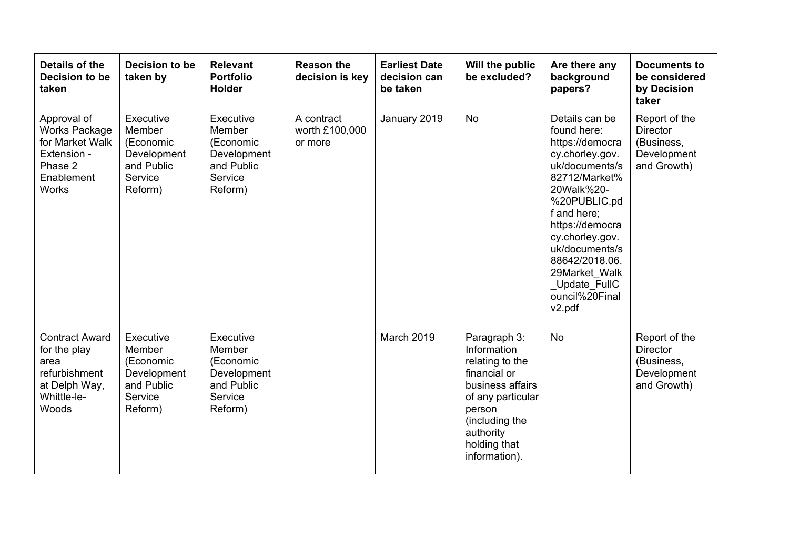| Details of the<br>Decision to be<br>taken                                                                      | Decision to be<br>taken by                                                          | <b>Relevant</b><br><b>Portfolio</b><br><b>Holder</b>                                | <b>Reason the</b><br>decision is key    | <b>Earliest Date</b><br>decision can<br>be taken | Will the public<br>be excluded?                                                                                                                                                   | Are there any<br>background<br>papers?                                                                                                                                                                                                                                                                 | <b>Documents to</b><br>be considered<br>by Decision<br>taker                 |
|----------------------------------------------------------------------------------------------------------------|-------------------------------------------------------------------------------------|-------------------------------------------------------------------------------------|-----------------------------------------|--------------------------------------------------|-----------------------------------------------------------------------------------------------------------------------------------------------------------------------------------|--------------------------------------------------------------------------------------------------------------------------------------------------------------------------------------------------------------------------------------------------------------------------------------------------------|------------------------------------------------------------------------------|
| Approval of<br><b>Works Package</b><br>for Market Walk<br>Extension -<br>Phase 2<br>Enablement<br><b>Works</b> | Executive<br>Member<br>(Economic<br>Development<br>and Public<br>Service<br>Reform) | Executive<br>Member<br>(Economic<br>Development<br>and Public<br>Service<br>Reform) | A contract<br>worth £100,000<br>or more | January 2019                                     | <b>No</b>                                                                                                                                                                         | Details can be<br>found here:<br>https://democra<br>cy.chorley.gov.<br>uk/documents/s<br>82712/Market%<br>20Walk%20-<br>%20PUBLIC.pd<br>f and here:<br>https://democra<br>cy.chorley.gov.<br>uk/documents/s<br>88642/2018.06.<br>29Market Walk<br>Update FullC<br>ouncil%20Final<br>v <sub>2.pdf</sub> | Report of the<br><b>Director</b><br>(Business,<br>Development<br>and Growth) |
| <b>Contract Award</b><br>for the play<br>area<br>refurbishment<br>at Delph Way,<br>Whittle-le-<br>Woods        | Executive<br>Member<br>(Economic<br>Development<br>and Public<br>Service<br>Reform) | Executive<br>Member<br>(Economic<br>Development<br>and Public<br>Service<br>Reform) |                                         | March 2019                                       | Paragraph 3:<br>Information<br>relating to the<br>financial or<br>business affairs<br>of any particular<br>person<br>(including the<br>authority<br>holding that<br>information). | <b>No</b>                                                                                                                                                                                                                                                                                              | Report of the<br><b>Director</b><br>(Business,<br>Development<br>and Growth) |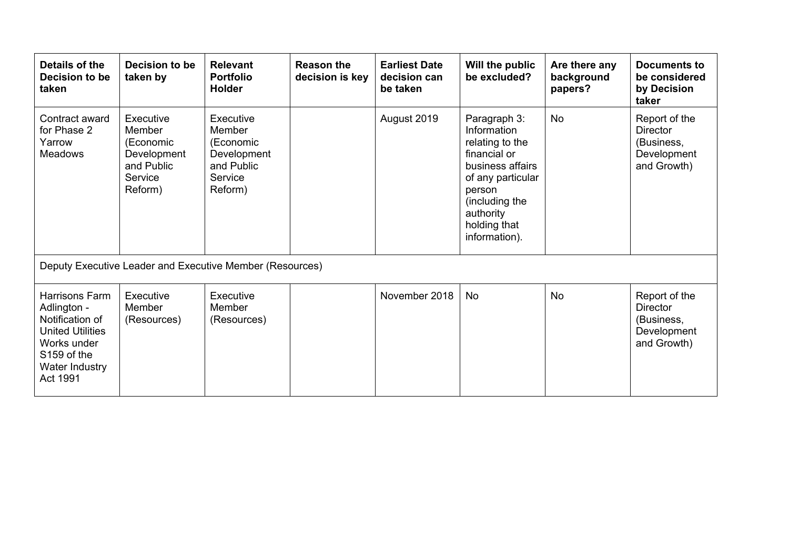| Details of the<br>Decision to be<br>taken                                                                                               | Decision to be<br>taken by                                                          | <b>Relevant</b><br><b>Portfolio</b><br><b>Holder</b>                                | <b>Reason the</b><br>decision is key | <b>Earliest Date</b><br>decision can<br>be taken | Will the public<br>be excluded?                                                                                                                                                   | Are there any<br>background<br>papers? | Documents to<br>be considered<br>by Decision<br>taker                        |
|-----------------------------------------------------------------------------------------------------------------------------------------|-------------------------------------------------------------------------------------|-------------------------------------------------------------------------------------|--------------------------------------|--------------------------------------------------|-----------------------------------------------------------------------------------------------------------------------------------------------------------------------------------|----------------------------------------|------------------------------------------------------------------------------|
| Contract award<br>for Phase 2<br>Yarrow<br><b>Meadows</b>                                                                               | Executive<br>Member<br>(Economic<br>Development<br>and Public<br>Service<br>Reform) | Executive<br>Member<br>(Economic<br>Development<br>and Public<br>Service<br>Reform) |                                      | August 2019                                      | Paragraph 3:<br>Information<br>relating to the<br>financial or<br>business affairs<br>of any particular<br>person<br>(including the<br>authority<br>holding that<br>information). | <b>No</b>                              | Report of the<br><b>Director</b><br>(Business,<br>Development<br>and Growth) |
|                                                                                                                                         |                                                                                     | Deputy Executive Leader and Executive Member (Resources)                            |                                      |                                                  |                                                                                                                                                                                   |                                        |                                                                              |
| Harrisons Farm<br>Adlington -<br>Notification of<br><b>United Utilities</b><br>Works under<br>S159 of the<br>Water Industry<br>Act 1991 | Executive<br>Member<br>(Resources)                                                  | Executive<br>Member<br>(Resources)                                                  |                                      | November 2018                                    | <b>No</b>                                                                                                                                                                         | <b>No</b>                              | Report of the<br><b>Director</b><br>(Business,<br>Development<br>and Growth) |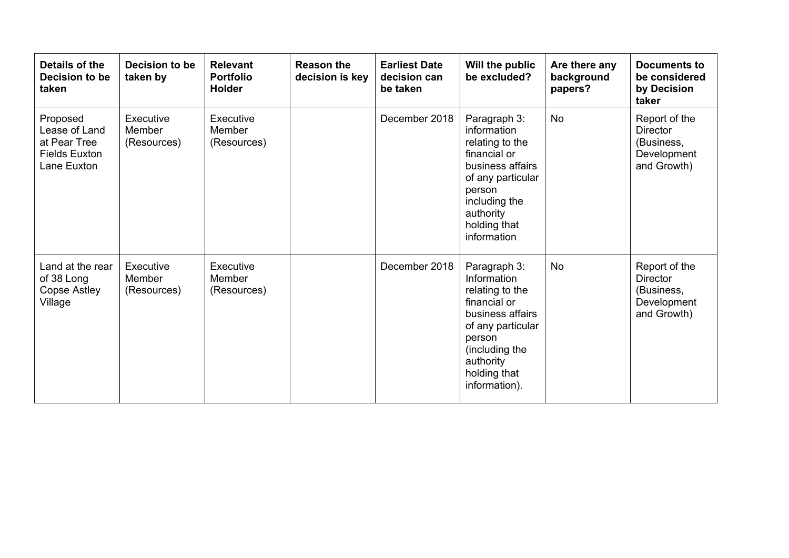| Details of the<br>Decision to be<br>taken                                        | Decision to be<br>taken by         | <b>Relevant</b><br><b>Portfolio</b><br>Holder | <b>Reason the</b><br>decision is key | <b>Earliest Date</b><br>decision can<br>be taken | Will the public<br>be excluded?                                                                                                                                                   | Are there any<br>background<br>papers? | <b>Documents to</b><br>be considered<br>by Decision<br>taker                 |
|----------------------------------------------------------------------------------|------------------------------------|-----------------------------------------------|--------------------------------------|--------------------------------------------------|-----------------------------------------------------------------------------------------------------------------------------------------------------------------------------------|----------------------------------------|------------------------------------------------------------------------------|
| Proposed<br>Lease of Land<br>at Pear Tree<br><b>Fields Euxton</b><br>Lane Euxton | Executive<br>Member<br>(Resources) | Executive<br>Member<br>(Resources)            |                                      | December 2018                                    | Paragraph 3:<br>information<br>relating to the<br>financial or<br>business affairs<br>of any particular<br>person<br>including the<br>authority<br>holding that<br>information    | <b>No</b>                              | Report of the<br><b>Director</b><br>(Business,<br>Development<br>and Growth) |
| Land at the rear<br>of 38 Long<br>Copse Astley<br>Village                        | Executive<br>Member<br>(Resources) | Executive<br>Member<br>(Resources)            |                                      | December 2018                                    | Paragraph 3:<br>Information<br>relating to the<br>financial or<br>business affairs<br>of any particular<br>person<br>(including the<br>authority<br>holding that<br>information). | No                                     | Report of the<br><b>Director</b><br>(Business,<br>Development<br>and Growth) |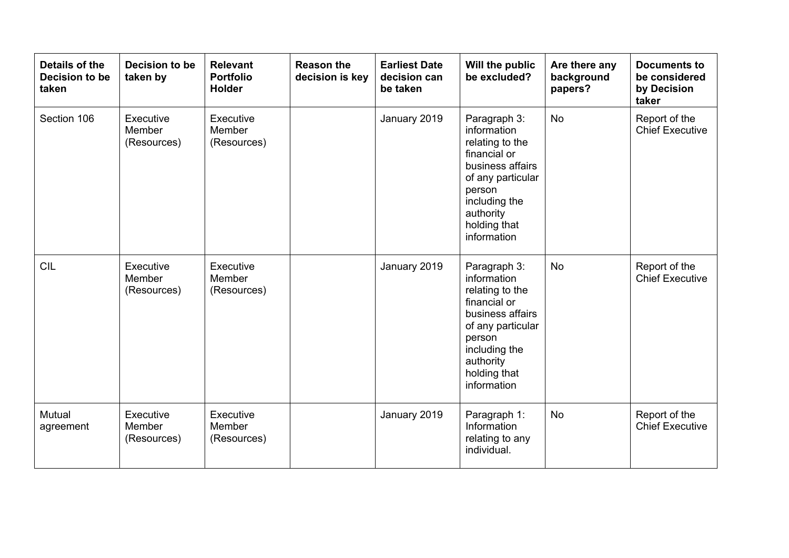| Details of the<br>Decision to be<br>taken | Decision to be<br>taken by         | <b>Relevant</b><br><b>Portfolio</b><br><b>Holder</b> | <b>Reason the</b><br>decision is key | <b>Earliest Date</b><br>decision can<br>be taken | Will the public<br>be excluded?                                                                                                                                                | Are there any<br>background<br>papers? | <b>Documents to</b><br>be considered<br>by Decision<br>taker |
|-------------------------------------------|------------------------------------|------------------------------------------------------|--------------------------------------|--------------------------------------------------|--------------------------------------------------------------------------------------------------------------------------------------------------------------------------------|----------------------------------------|--------------------------------------------------------------|
| Section 106                               | Executive<br>Member<br>(Resources) | Executive<br>Member<br>(Resources)                   |                                      | January 2019                                     | Paragraph 3:<br>information<br>relating to the<br>financial or<br>business affairs<br>of any particular<br>person<br>including the<br>authority<br>holding that<br>information | <b>No</b>                              | Report of the<br><b>Chief Executive</b>                      |
| <b>CIL</b>                                | Executive<br>Member<br>(Resources) | Executive<br>Member<br>(Resources)                   |                                      | January 2019                                     | Paragraph 3:<br>information<br>relating to the<br>financial or<br>business affairs<br>of any particular<br>person<br>including the<br>authority<br>holding that<br>information | <b>No</b>                              | Report of the<br><b>Chief Executive</b>                      |
| Mutual<br>agreement                       | Executive<br>Member<br>(Resources) | Executive<br>Member<br>(Resources)                   |                                      | January 2019                                     | Paragraph 1:<br>Information<br>relating to any<br>individual.                                                                                                                  | No                                     | Report of the<br><b>Chief Executive</b>                      |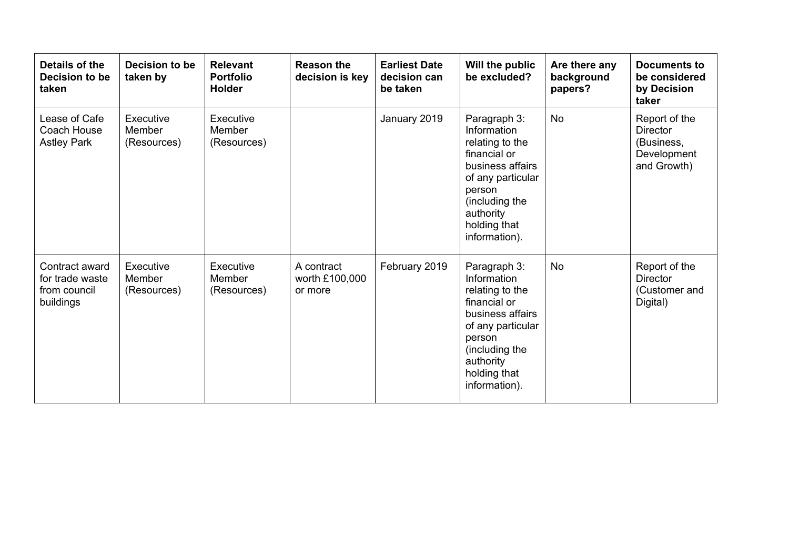| Details of the<br>Decision to be<br>taken                      | Decision to be<br>taken by         | <b>Relevant</b><br><b>Portfolio</b><br><b>Holder</b> | <b>Reason the</b><br>decision is key    | <b>Earliest Date</b><br>decision can<br>be taken | Will the public<br>be excluded?                                                                                                                                                   | Are there any<br>background<br>papers? | <b>Documents to</b><br>be considered<br>by Decision<br>taker                 |
|----------------------------------------------------------------|------------------------------------|------------------------------------------------------|-----------------------------------------|--------------------------------------------------|-----------------------------------------------------------------------------------------------------------------------------------------------------------------------------------|----------------------------------------|------------------------------------------------------------------------------|
| Lease of Cafe<br>Coach House<br><b>Astley Park</b>             | Executive<br>Member<br>(Resources) | Executive<br>Member<br>(Resources)                   |                                         | January 2019                                     | Paragraph 3:<br>Information<br>relating to the<br>financial or<br>business affairs<br>of any particular<br>person<br>(including the<br>authority<br>holding that<br>information). | <b>No</b>                              | Report of the<br><b>Director</b><br>(Business,<br>Development<br>and Growth) |
| Contract award<br>for trade waste<br>from council<br>buildings | Executive<br>Member<br>(Resources) | Executive<br>Member<br>(Resources)                   | A contract<br>worth £100,000<br>or more | February 2019                                    | Paragraph 3:<br>Information<br>relating to the<br>financial or<br>business affairs<br>of any particular<br>person<br>(including the<br>authority<br>holding that<br>information). | No                                     | Report of the<br><b>Director</b><br>(Customer and<br>Digital)                |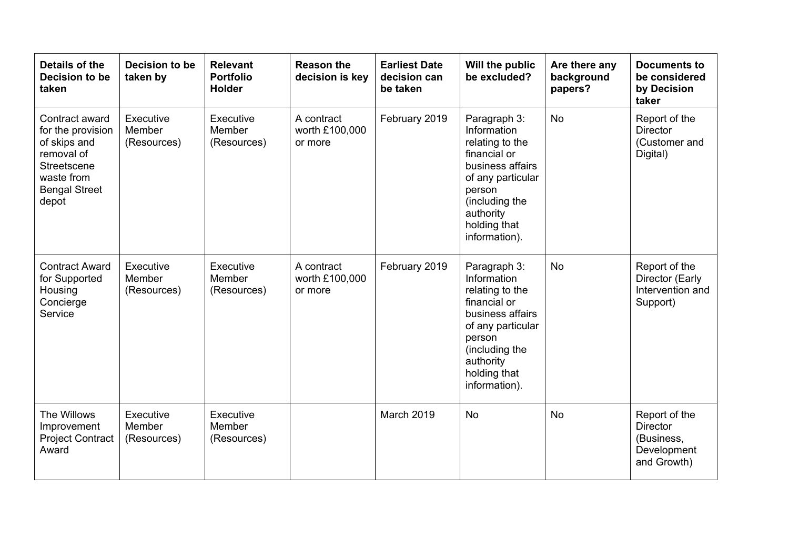| Details of the<br>Decision to be<br>taken                                                                                       | Decision to be<br>taken by         | <b>Relevant</b><br><b>Portfolio</b><br><b>Holder</b> | <b>Reason the</b><br>decision is key    | <b>Earliest Date</b><br>decision can<br>be taken | Will the public<br>be excluded?                                                                                                                                                   | Are there any<br>background<br>papers? | <b>Documents to</b><br>be considered<br>by Decision<br>taker          |
|---------------------------------------------------------------------------------------------------------------------------------|------------------------------------|------------------------------------------------------|-----------------------------------------|--------------------------------------------------|-----------------------------------------------------------------------------------------------------------------------------------------------------------------------------------|----------------------------------------|-----------------------------------------------------------------------|
| Contract award<br>for the provision<br>of skips and<br>removal of<br>Streetscene<br>waste from<br><b>Bengal Street</b><br>depot | Executive<br>Member<br>(Resources) | Executive<br>Member<br>(Resources)                   | A contract<br>worth £100,000<br>or more | February 2019                                    | Paragraph 3:<br>Information<br>relating to the<br>financial or<br>business affairs<br>of any particular<br>person<br>(including the<br>authority<br>holding that<br>information). | <b>No</b>                              | Report of the<br><b>Director</b><br>(Customer and<br>Digital)         |
| <b>Contract Award</b><br>for Supported<br>Housing<br>Concierge<br>Service                                                       | Executive<br>Member<br>(Resources) | Executive<br>Member<br>(Resources)                   | A contract<br>worth £100,000<br>or more | February 2019                                    | Paragraph 3:<br>Information<br>relating to the<br>financial or<br>business affairs<br>of any particular<br>person<br>(including the<br>authority<br>holding that<br>information). | <b>No</b>                              | Report of the<br>Director (Early<br>Intervention and<br>Support)      |
| The Willows<br>Improvement<br><b>Project Contract</b><br>Award                                                                  | Executive<br>Member<br>(Resources) | Executive<br>Member<br>(Resources)                   |                                         | March 2019                                       | <b>No</b>                                                                                                                                                                         | <b>No</b>                              | Report of the<br>Director<br>(Business,<br>Development<br>and Growth) |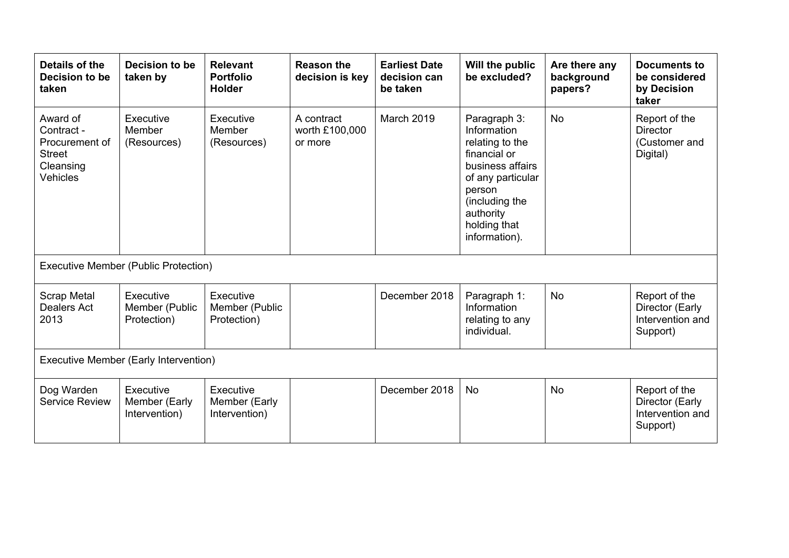| Details of the<br>Decision to be<br>taken                                          | Decision to be<br>taken by                  | <b>Relevant</b><br><b>Portfolio</b><br><b>Holder</b> | <b>Reason the</b><br>decision is key    | <b>Earliest Date</b><br>decision can<br>be taken | Will the public<br>be excluded?                                                                                                                                                   | Are there any<br>background<br>papers? | <b>Documents to</b><br>be considered<br>by Decision<br>taker     |  |
|------------------------------------------------------------------------------------|---------------------------------------------|------------------------------------------------------|-----------------------------------------|--------------------------------------------------|-----------------------------------------------------------------------------------------------------------------------------------------------------------------------------------|----------------------------------------|------------------------------------------------------------------|--|
| Award of<br>Contract -<br>Procurement of<br><b>Street</b><br>Cleansing<br>Vehicles | Executive<br>Member<br>(Resources)          | Executive<br>Member<br>(Resources)                   | A contract<br>worth £100,000<br>or more | <b>March 2019</b>                                | Paragraph 3:<br>Information<br>relating to the<br>financial or<br>business affairs<br>of any particular<br>person<br>(including the<br>authority<br>holding that<br>information). | <b>No</b>                              | Report of the<br>Director<br>(Customer and<br>Digital)           |  |
| <b>Executive Member (Public Protection)</b>                                        |                                             |                                                      |                                         |                                                  |                                                                                                                                                                                   |                                        |                                                                  |  |
| <b>Scrap Metal</b><br><b>Dealers Act</b><br>2013                                   | Executive<br>Member (Public<br>Protection)  | Executive<br>Member (Public<br>Protection)           |                                         | December 2018                                    | Paragraph 1:<br>Information<br>relating to any<br>individual.                                                                                                                     | <b>No</b>                              | Report of the<br>Director (Early<br>Intervention and<br>Support) |  |
| <b>Executive Member (Early Intervention)</b>                                       |                                             |                                                      |                                         |                                                  |                                                                                                                                                                                   |                                        |                                                                  |  |
| Dog Warden<br><b>Service Review</b>                                                | Executive<br>Member (Early<br>Intervention) | Executive<br>Member (Early<br>Intervention)          |                                         | December 2018                                    | <b>No</b>                                                                                                                                                                         | <b>No</b>                              | Report of the<br>Director (Early<br>Intervention and<br>Support) |  |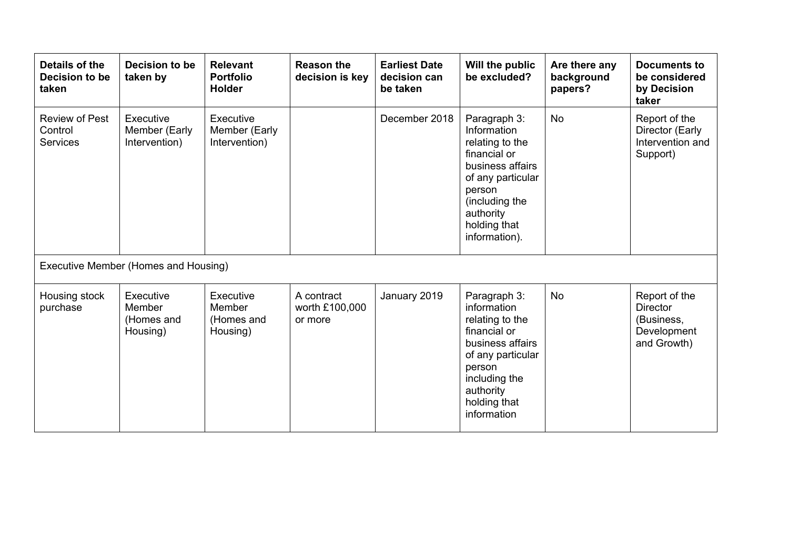| Details of the<br>Decision to be<br>taken           | Decision to be<br>taken by                    | <b>Relevant</b><br><b>Portfolio</b><br><b>Holder</b> | <b>Reason the</b><br>decision is key    | <b>Earliest Date</b><br>decision can<br>be taken | Will the public<br>be excluded?                                                                                                                                                   | Are there any<br>background<br>papers? | <b>Documents to</b><br>be considered<br>by Decision<br>taker                 |  |
|-----------------------------------------------------|-----------------------------------------------|------------------------------------------------------|-----------------------------------------|--------------------------------------------------|-----------------------------------------------------------------------------------------------------------------------------------------------------------------------------------|----------------------------------------|------------------------------------------------------------------------------|--|
| <b>Review of Pest</b><br>Control<br><b>Services</b> | Executive<br>Member (Early<br>Intervention)   | Executive<br>Member (Early<br>Intervention)          |                                         | December 2018                                    | Paragraph 3:<br>Information<br>relating to the<br>financial or<br>business affairs<br>of any particular<br>person<br>(including the<br>authority<br>holding that<br>information). | <b>No</b>                              | Report of the<br>Director (Early<br>Intervention and<br>Support)             |  |
| Executive Member (Homes and Housing)                |                                               |                                                      |                                         |                                                  |                                                                                                                                                                                   |                                        |                                                                              |  |
| Housing stock<br>purchase                           | Executive<br>Member<br>(Homes and<br>Housing) | Executive<br>Member<br>(Homes and<br>Housing)        | A contract<br>worth £100,000<br>or more | January 2019                                     | Paragraph 3:<br>information<br>relating to the<br>financial or<br>business affairs<br>of any particular<br>person<br>including the<br>authority<br>holding that<br>information    | <b>No</b>                              | Report of the<br><b>Director</b><br>(Business,<br>Development<br>and Growth) |  |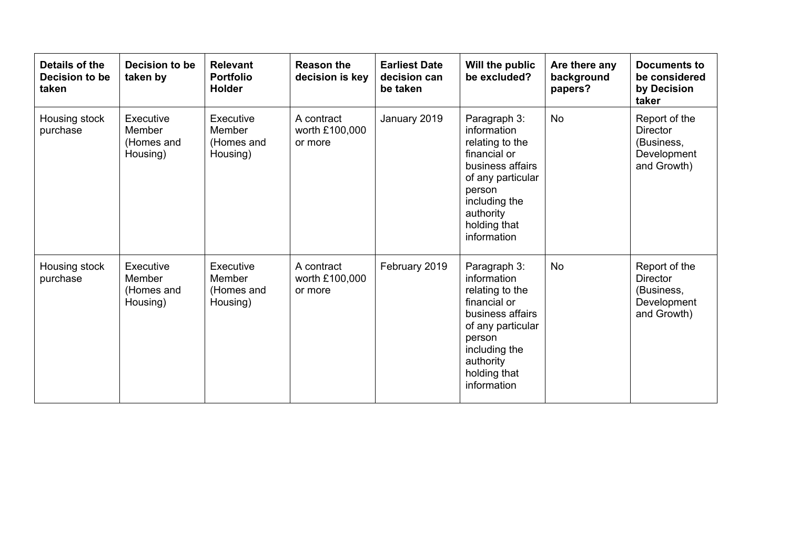| Details of the<br>Decision to be<br>taken | Decision to be<br>taken by                    | <b>Relevant</b><br><b>Portfolio</b><br><b>Holder</b> | <b>Reason the</b><br>decision is key    | <b>Earliest Date</b><br>decision can<br>be taken | Will the public<br>be excluded?                                                                                                                                                | Are there any<br>background<br>papers? | <b>Documents to</b><br>be considered<br>by Decision<br>taker                 |
|-------------------------------------------|-----------------------------------------------|------------------------------------------------------|-----------------------------------------|--------------------------------------------------|--------------------------------------------------------------------------------------------------------------------------------------------------------------------------------|----------------------------------------|------------------------------------------------------------------------------|
| Housing stock<br>purchase                 | Executive<br>Member<br>(Homes and<br>Housing) | Executive<br>Member<br>(Homes and<br>Housing)        | A contract<br>worth £100,000<br>or more | January 2019                                     | Paragraph 3:<br>information<br>relating to the<br>financial or<br>business affairs<br>of any particular<br>person<br>including the<br>authority<br>holding that<br>information | <b>No</b>                              | Report of the<br><b>Director</b><br>(Business,<br>Development<br>and Growth) |
| Housing stock<br>purchase                 | Executive<br>Member<br>(Homes and<br>Housing) | Executive<br>Member<br>(Homes and<br>Housing)        | A contract<br>worth £100,000<br>or more | February 2019                                    | Paragraph 3:<br>information<br>relating to the<br>financial or<br>business affairs<br>of any particular<br>person<br>including the<br>authority<br>holding that<br>information | <b>No</b>                              | Report of the<br><b>Director</b><br>(Business,<br>Development<br>and Growth) |